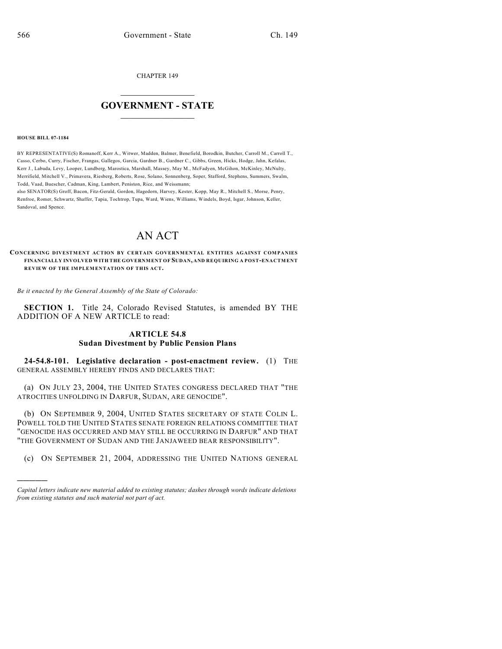CHAPTER 149

# $\overline{\phantom{a}}$  . The set of the set of the set of the set of the set of the set of the set of the set of the set of the set of the set of the set of the set of the set of the set of the set of the set of the set of the set o **GOVERNMENT - STATE**  $\_$

#### **HOUSE BILL 07-1184**

)))))

BY REPRESENTATIVE(S) Romanoff, Kerr A., Witwer, Madden, Balmer, Benefield, Borodkin, Butcher, Carroll M., Carroll T., Casso, Cerbo, Curry, Fischer, Frangas, Gallegos, Garcia, Gardner B., Gardner C., Gibbs, Green, Hicks, Hodge, Jahn, Kefalas, Kerr J., Labuda, Levy, Looper, Lundberg, Marostica, Marshall, Massey, May M., McFadyen, McGihon, McKinley, McNulty, Merrifield, Mitchell V., Primavera, Riesberg, Roberts, Rose, Solano, Sonnenberg, Soper, Stafford, Stephens, Summers, Swalm, Todd, Vaad, Buescher, Cadman, King, Lambert, Peniston, Rice, and Weissmann;

also SENATOR(S) Groff, Bacon, Fitz-Gerald, Gordon, Hagedorn, Harvey, Kester, Kopp, May R., Mitchell S., Morse, Penry, Renfroe, Romer, Schwartz, Shaffer, Tapia, Tochtrop, Tupa, Ward, Wiens, Williams, Windels, Boyd, Isgar, Johnson, Keller, Sandoval, and Spence.

# AN ACT

**CONCERNING DIVESTMENT ACTION BY CERTAIN GOVERNMENTAL ENTITIES AGAINST COMPANIES FINANCIALLY INVOLVED WITH THE GOVERNMENT OF SUDAN, AND REQUIRING A POST-ENACTM ENT REVIEW OF THE IMPLEMENTATION OF THIS ACT.**

*Be it enacted by the General Assembly of the State of Colorado:*

**SECTION 1.** Title 24, Colorado Revised Statutes, is amended BY THE ADDITION OF A NEW ARTICLE to read:

## **ARTICLE 54.8 Sudan Divestment by Public Pension Plans**

**24-54.8-101. Legislative declaration - post-enactment review.** (1) THE GENERAL ASSEMBLY HEREBY FINDS AND DECLARES THAT:

(a) ON JULY 23, 2004, THE UNITED STATES CONGRESS DECLARED THAT "THE ATROCITIES UNFOLDING IN DARFUR, SUDAN, ARE GENOCIDE".

(b) ON SEPTEMBER 9, 2004, UNITED STATES SECRETARY OF STATE COLIN L. POWELL TOLD THE UNITED STATES SENATE FOREIGN RELATIONS COMMITTEE THAT "GENOCIDE HAS OCCURRED AND MAY STILL BE OCCURRING IN DARFUR" AND THAT "THE GOVERNMENT OF SUDAN AND THE JANJAWEED BEAR RESPONSIBILITY".

(c) ON SEPTEMBER 21, 2004, ADDRESSING THE UNITED NATIONS GENERAL

*Capital letters indicate new material added to existing statutes; dashes through words indicate deletions from existing statutes and such material not part of act.*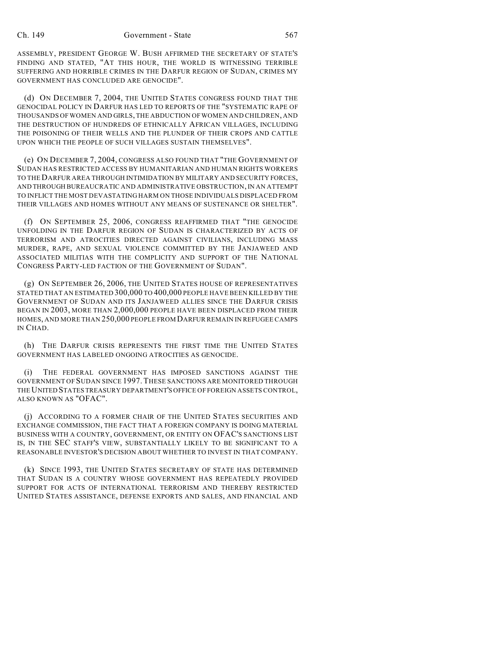ASSEMBLY, PRESIDENT GEORGE W. BUSH AFFIRMED THE SECRETARY OF STATE'S FINDING AND STATED, "AT THIS HOUR, THE WORLD IS WITNESSING TERRIBLE SUFFERING AND HORRIBLE CRIMES IN THE DARFUR REGION OF SUDAN, CRIMES MY GOVERNMENT HAS CONCLUDED ARE GENOCIDE".

(d) ON DECEMBER 7, 2004, THE UNITED STATES CONGRESS FOUND THAT THE GENOCIDAL POLICY IN DARFUR HAS LED TO REPORTS OF THE "SYSTEMATIC RAPE OF THOUSANDS OF WOMEN AND GIRLS, THE ABDUCTION OF WOMEN AND CHILDREN, AND THE DESTRUCTION OF HUNDREDS OF ETHNICALLY AFRICAN VILLAGES, INCLUDING THE POISONING OF THEIR WELLS AND THE PLUNDER OF THEIR CROPS AND CATTLE UPON WHICH THE PEOPLE OF SUCH VILLAGES SUSTAIN THEMSELVES".

(e) ON DECEMBER 7, 2004, CONGRESS ALSO FOUND THAT "THE GOVERNMENT OF SUDAN HAS RESTRICTED ACCESS BY HUMANITARIAN AND HUMAN RIGHTS WORKERS TO THE DARFUR AREA THROUGH INTIMIDATION BY MILITARY AND SECURITY FORCES, AND THROUGH BUREAUCRATIC AND ADMINISTRATIVE OBSTRUCTION, IN AN ATTEMPT TO INFLICT THE MOST DEVASTATING HARM ON THOSE INDIVIDUALS DISPLACED FROM THEIR VILLAGES AND HOMES WITHOUT ANY MEANS OF SUSTENANCE OR SHELTER".

(f) ON SEPTEMBER 25, 2006, CONGRESS REAFFIRMED THAT "THE GENOCIDE UNFOLDING IN THE DARFUR REGION OF SUDAN IS CHARACTERIZED BY ACTS OF TERRORISM AND ATROCITIES DIRECTED AGAINST CIVILIANS, INCLUDING MASS MURDER, RAPE, AND SEXUAL VIOLENCE COMMITTED BY THE JANJAWEED AND ASSOCIATED MILITIAS WITH THE COMPLICITY AND SUPPORT OF THE NATIONAL CONGRESS PARTY-LED FACTION OF THE GOVERNMENT OF SUDAN".

(g) ON SEPTEMBER 26, 2006, THE UNITED STATES HOUSE OF REPRESENTATIVES STATED THAT AN ESTIMATED 300,000 TO 400,000 PEOPLE HAVE BEEN KILLED BY THE GOVERNMENT OF SUDAN AND ITS JANJAWEED ALLIES SINCE THE DARFUR CRISIS BEGAN IN 2003, MORE THAN 2,000,000 PEOPLE HAVE BEEN DISPLACED FROM THEIR HOMES, AND MORE THAN 250,000 PEOPLE FROM DARFUR REMAIN IN REFUGEE CAMPS IN CHAD.

(h) THE DARFUR CRISIS REPRESENTS THE FIRST TIME THE UNITED STATES GOVERNMENT HAS LABELED ONGOING ATROCITIES AS GENOCIDE.

(i) THE FEDERAL GOVERNMENT HAS IMPOSED SANCTIONS AGAINST THE GOVERNMENT OF SUDAN SINCE 1997.THESE SANCTIONS ARE MONITORED THROUGH THE UNITED STATES TREASURY DEPARTMENT'S OFFICE OF FOREIGN ASSETS CONTROL, ALSO KNOWN AS "OFAC".

(j) ACCORDING TO A FORMER CHAIR OF THE UNITED STATES SECURITIES AND EXCHANGE COMMISSION, THE FACT THAT A FOREIGN COMPANY IS DOING MATERIAL BUSINESS WITH A COUNTRY, GOVERNMENT, OR ENTITY ON OFAC'S SANCTIONS LIST IS, IN THE SEC STAFF'S VIEW, SUBSTANTIALLY LIKELY TO BE SIGNIFICANT TO A REASONABLE INVESTOR'S DECISION ABOUT WHETHER TO INVEST IN THAT COMPANY.

(k) SINCE 1993, THE UNITED STATES SECRETARY OF STATE HAS DETERMINED THAT SUDAN IS A COUNTRY WHOSE GOVERNMENT HAS REPEATEDLY PROVIDED SUPPORT FOR ACTS OF INTERNATIONAL TERRORISM AND THEREBY RESTRICTED UNITED STATES ASSISTANCE, DEFENSE EXPORTS AND SALES, AND FINANCIAL AND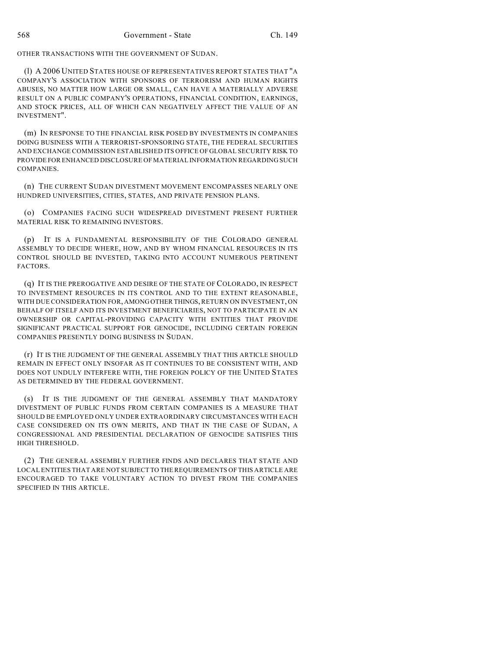OTHER TRANSACTIONS WITH THE GOVERNMENT OF SUDAN.

(l) A 2006 UNITED STATES HOUSE OF REPRESENTATIVES REPORT STATES THAT "A COMPANY'S ASSOCIATION WITH SPONSORS OF TERRORISM AND HUMAN RIGHTS ABUSES, NO MATTER HOW LARGE OR SMALL, CAN HAVE A MATERIALLY ADVERSE RESULT ON A PUBLIC COMPANY'S OPERATIONS, FINANCIAL CONDITION, EARNINGS, AND STOCK PRICES, ALL OF WHICH CAN NEGATIVELY AFFECT THE VALUE OF AN INVESTMENT".

(m) IN RESPONSE TO THE FINANCIAL RISK POSED BY INVESTMENTS IN COMPANIES DOING BUSINESS WITH A TERRORIST-SPONSORING STATE, THE FEDERAL SECURITIES AND EXCHANGE COMMISSION ESTABLISHED ITS OFFICE OF GLOBAL SECURITY RISK TO PROVIDE FOR ENHANCED DISCLOSURE OF MATERIAL INFORMATION REGARDING SUCH COMPANIES.

(n) THE CURRENT SUDAN DIVESTMENT MOVEMENT ENCOMPASSES NEARLY ONE HUNDRED UNIVERSITIES, CITIES, STATES, AND PRIVATE PENSION PLANS.

(o) COMPANIES FACING SUCH WIDESPREAD DIVESTMENT PRESENT FURTHER MATERIAL RISK TO REMAINING INVESTORS.

(p) IT IS A FUNDAMENTAL RESPONSIBILITY OF THE COLORADO GENERAL ASSEMBLY TO DECIDE WHERE, HOW, AND BY WHOM FINANCIAL RESOURCES IN ITS CONTROL SHOULD BE INVESTED, TAKING INTO ACCOUNT NUMEROUS PERTINENT FACTORS.

(q) IT IS THE PREROGATIVE AND DESIRE OF THE STATE OF COLORADO, IN RESPECT TO INVESTMENT RESOURCES IN ITS CONTROL AND TO THE EXTENT REASONABLE, WITH DUE CONSIDERATION FOR, AMONG OTHER THINGS, RETURN ON INVESTMENT, ON BEHALF OF ITSELF AND ITS INVESTMENT BENEFICIARIES, NOT TO PARTICIPATE IN AN OWNERSHIP OR CAPITAL-PROVIDING CAPACITY WITH ENTITIES THAT PROVIDE SIGNIFICANT PRACTICAL SUPPORT FOR GENOCIDE, INCLUDING CERTAIN FOREIGN COMPANIES PRESENTLY DOING BUSINESS IN SUDAN.

(r) IT IS THE JUDGMENT OF THE GENERAL ASSEMBLY THAT THIS ARTICLE SHOULD REMAIN IN EFFECT ONLY INSOFAR AS IT CONTINUES TO BE CONSISTENT WITH, AND DOES NOT UNDULY INTERFERE WITH, THE FOREIGN POLICY OF THE UNITED STATES AS DETERMINED BY THE FEDERAL GOVERNMENT.

(s) IT IS THE JUDGMENT OF THE GENERAL ASSEMBLY THAT MANDATORY DIVESTMENT OF PUBLIC FUNDS FROM CERTAIN COMPANIES IS A MEASURE THAT SHOULD BE EMPLOYED ONLY UNDER EXTRAORDINARY CIRCUMSTANCES WITH EACH CASE CONSIDERED ON ITS OWN MERITS, AND THAT IN THE CASE OF SUDAN, A CONGRESSIONAL AND PRESIDENTIAL DECLARATION OF GENOCIDE SATISFIES THIS HIGH THRESHOLD.

(2) THE GENERAL ASSEMBLY FURTHER FINDS AND DECLARES THAT STATE AND LOCAL ENTITIES THAT ARE NOT SUBJECT TO THE REQUIREMENTS OF THIS ARTICLE ARE ENCOURAGED TO TAKE VOLUNTARY ACTION TO DIVEST FROM THE COMPANIES SPECIFIED IN THIS ARTICLE.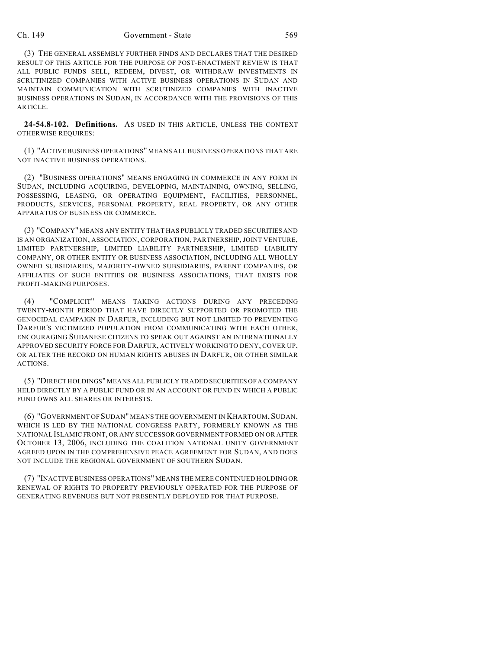### Ch. 149 Government - State 569

(3) THE GENERAL ASSEMBLY FURTHER FINDS AND DECLARES THAT THE DESIRED RESULT OF THIS ARTICLE FOR THE PURPOSE OF POST-ENACTMENT REVIEW IS THAT ALL PUBLIC FUNDS SELL, REDEEM, DIVEST, OR WITHDRAW INVESTMENTS IN SCRUTINIZED COMPANIES WITH ACTIVE BUSINESS OPERATIONS IN SUDAN AND MAINTAIN COMMUNICATION WITH SCRUTINIZED COMPANIES WITH INACTIVE BUSINESS OPERATIONS IN SUDAN, IN ACCORDANCE WITH THE PROVISIONS OF THIS ARTICLE.

**24-54.8-102. Definitions.** AS USED IN THIS ARTICLE, UNLESS THE CONTEXT OTHERWISE REQUIRES:

(1) "ACTIVE BUSINESS OPERATIONS" MEANS ALL BUSINESS OPERATIONS THAT ARE NOT INACTIVE BUSINESS OPERATIONS.

(2) "BUSINESS OPERATIONS" MEANS ENGAGING IN COMMERCE IN ANY FORM IN SUDAN, INCLUDING ACQUIRING, DEVELOPING, MAINTAINING, OWNING, SELLING, POSSESSING, LEASING, OR OPERATING EQUIPMENT, FACILITIES, PERSONNEL, PRODUCTS, SERVICES, PERSONAL PROPERTY, REAL PROPERTY, OR ANY OTHER APPARATUS OF BUSINESS OR COMMERCE.

(3) "COMPANY" MEANS ANY ENTITY THAT HAS PUBLICLY TRADED SECURITIES AND IS AN ORGANIZATION, ASSOCIATION, CORPORATION, PARTNERSHIP, JOINT VENTURE, LIMITED PARTNERSHIP, LIMITED LIABILITY PARTNERSHIP, LIMITED LIABILITY COMPANY, OR OTHER ENTITY OR BUSINESS ASSOCIATION, INCLUDING ALL WHOLLY OWNED SUBSIDIARIES, MAJORITY-OWNED SUBSIDIARIES, PARENT COMPANIES, OR AFFILIATES OF SUCH ENTITIES OR BUSINESS ASSOCIATIONS, THAT EXISTS FOR PROFIT-MAKING PURPOSES.

(4) "COMPLICIT" MEANS TAKING ACTIONS DURING ANY PRECEDING TWENTY-MONTH PERIOD THAT HAVE DIRECTLY SUPPORTED OR PROMOTED THE GENOCIDAL CAMPAIGN IN DARFUR, INCLUDING BUT NOT LIMITED TO PREVENTING DARFUR'S VICTIMIZED POPULATION FROM COMMUNICATING WITH EACH OTHER, ENCOURAGING SUDANESE CITIZENS TO SPEAK OUT AGAINST AN INTERNATIONALLY APPROVED SECURITY FORCE FOR DARFUR, ACTIVELY WORKING TO DENY, COVER UP, OR ALTER THE RECORD ON HUMAN RIGHTS ABUSES IN DARFUR, OR OTHER SIMILAR ACTIONS.

(5) "DIRECT HOLDINGS" MEANS ALL PUBLICLY TRADED SECURITIES OF A COMPANY HELD DIRECTLY BY A PUBLIC FUND OR IN AN ACCOUNT OR FUND IN WHICH A PUBLIC FUND OWNS ALL SHARES OR INTERESTS.

(6) "GOVERNMENT OF SUDAN" MEANS THE GOVERNMENT IN KHARTOUM, SUDAN, WHICH IS LED BY THE NATIONAL CONGRESS PARTY, FORMERLY KNOWN AS THE NATIONAL ISLAMIC FRONT, OR ANY SUCCESSOR GOVERNMENT FORMED ON OR AFTER OCTOBER 13, 2006, INCLUDING THE COALITION NATIONAL UNITY GOVERNMENT AGREED UPON IN THE COMPREHENSIVE PEACE AGREEMENT FOR SUDAN, AND DOES NOT INCLUDE THE REGIONAL GOVERNMENT OF SOUTHERN SUDAN.

(7) "INACTIVE BUSINESS OPERATIONS" MEANS THE MERE CONTINUED HOLDING OR RENEWAL OF RIGHTS TO PROPERTY PREVIOUSLY OPERATED FOR THE PURPOSE OF GENERATING REVENUES BUT NOT PRESENTLY DEPLOYED FOR THAT PURPOSE.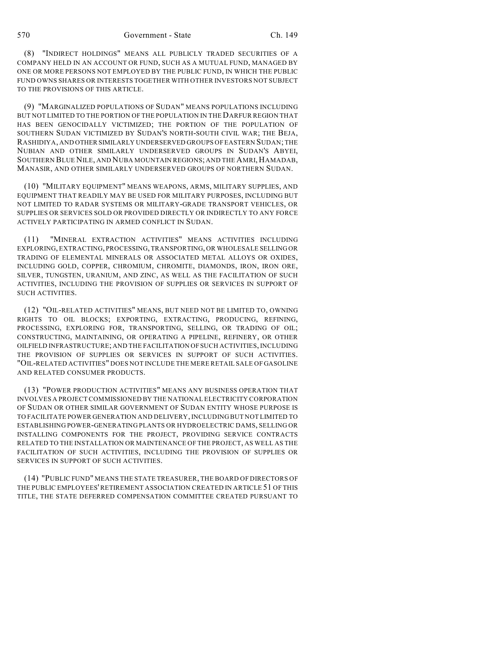(8) "INDIRECT HOLDINGS" MEANS ALL PUBLICLY TRADED SECURITIES OF A COMPANY HELD IN AN ACCOUNT OR FUND, SUCH AS A MUTUAL FUND, MANAGED BY ONE OR MORE PERSONS NOT EMPLOYED BY THE PUBLIC FUND, IN WHICH THE PUBLIC FUND OWNS SHARES OR INTERESTS TOGETHER WITH OTHER INVESTORS NOT SUBJECT TO THE PROVISIONS OF THIS ARTICLE.

(9) "MARGINALIZED POPULATIONS OF SUDAN" MEANS POPULATIONS INCLUDING BUT NOT LIMITED TO THE PORTION OF THE POPULATION IN THE DARFUR REGION THAT HAS BEEN GENOCIDALLY VICTIMIZED; THE PORTION OF THE POPULATION OF SOUTHERN SUDAN VICTIMIZED BY SUDAN'S NORTH-SOUTH CIVIL WAR; THE BEJA, RASHIDIYA, AND OTHER SIMILARLY UNDERSERVED GROUPS OF EASTERN SUDAN; THE NUBIAN AND OTHER SIMILARLY UNDERSERVED GROUPS IN SUDAN'S ABYEI, SOUTHERN BLUE NILE, AND NUBA MOUNTAIN REGIONS; AND THE AMRI, HAMADAB, MANASIR, AND OTHER SIMILARLY UNDERSERVED GROUPS OF NORTHERN SUDAN.

(10) "MILITARY EQUIPMENT" MEANS WEAPONS, ARMS, MILITARY SUPPLIES, AND EQUIPMENT THAT READILY MAY BE USED FOR MILITARY PURPOSES, INCLUDING BUT NOT LIMITED TO RADAR SYSTEMS OR MILITARY-GRADE TRANSPORT VEHICLES, OR SUPPLIES OR SERVICES SOLD OR PROVIDED DIRECTLY OR INDIRECTLY TO ANY FORCE ACTIVELY PARTICIPATING IN ARMED CONFLICT IN SUDAN.

(11) "MINERAL EXTRACTION ACTIVITIES" MEANS ACTIVITIES INCLUDING EXPLORING, EXTRACTING, PROCESSING, TRANSPORTING, OR WHOLESALE SELLING OR TRADING OF ELEMENTAL MINERALS OR ASSOCIATED METAL ALLOYS OR OXIDES, INCLUDING GOLD, COPPER, CHROMIUM, CHROMITE, DIAMONDS, IRON, IRON ORE, SILVER, TUNGSTEN, URANIUM, AND ZINC, AS WELL AS THE FACILITATION OF SUCH ACTIVITIES, INCLUDING THE PROVISION OF SUPPLIES OR SERVICES IN SUPPORT OF SUCH ACTIVITIES.

(12) "OIL-RELATED ACTIVITIES" MEANS, BUT NEED NOT BE LIMITED TO, OWNING RIGHTS TO OIL BLOCKS; EXPORTING, EXTRACTING, PRODUCING, REFINING, PROCESSING, EXPLORING FOR, TRANSPORTING, SELLING, OR TRADING OF OIL; CONSTRUCTING, MAINTAINING, OR OPERATING A PIPELINE, REFINERY, OR OTHER OILFIELD INFRASTRUCTURE; AND THE FACILITATION OF SUCH ACTIVITIES, INCLUDING THE PROVISION OF SUPPLIES OR SERVICES IN SUPPORT OF SUCH ACTIVITIES. "OIL-RELATED ACTIVITIES" DOES NOT INCLUDE THE MERE RETAIL SALE OF GASOLINE AND RELATED CONSUMER PRODUCTS.

(13) "POWER PRODUCTION ACTIVITIES" MEANS ANY BUSINESS OPERATION THAT INVOLVES A PROJECT COMMISSIONED BY THE NATIONAL ELECTRICITY CORPORATION OF SUDAN OR OTHER SIMILAR GOVERNMENT OF SUDAN ENTITY WHOSE PURPOSE IS TO FACILITATE POWER GENERATION AND DELIVERY, INCLUDING BUT NOT LIMITED TO ESTABLISHING POWER-GENERATING PLANTS OR HYDROELECTRIC DAMS, SELLING OR INSTALLING COMPONENTS FOR THE PROJECT, PROVIDING SERVICE CONTRACTS RELATED TO THE INSTALLATION OR MAINTENANCE OF THE PROJECT, AS WELL AS THE FACILITATION OF SUCH ACTIVITIES, INCLUDING THE PROVISION OF SUPPLIES OR SERVICES IN SUPPORT OF SUCH ACTIVITIES.

(14) "PUBLIC FUND" MEANS THE STATE TREASURER, THE BOARD OF DIRECTORS OF THE PUBLIC EMPLOYEES'RETIREMENT ASSOCIATION CREATED IN ARTICLE 51 OF THIS TITLE, THE STATE DEFERRED COMPENSATION COMMITTEE CREATED PURSUANT TO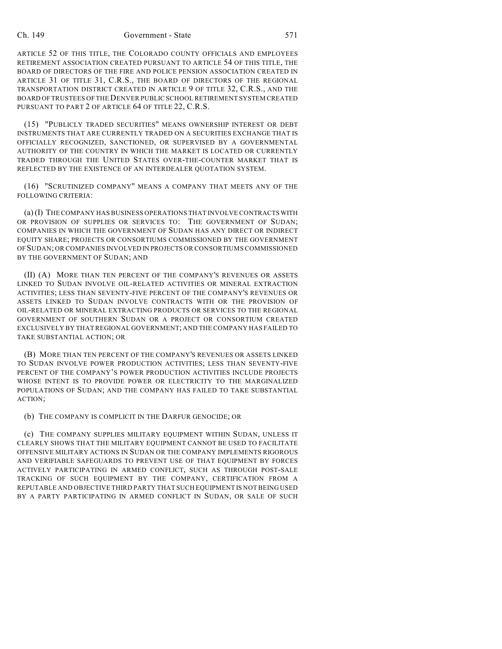ARTICLE 52 OF THIS TITLE, THE COLORADO COUNTY OFFICIALS AND EMPLOYEES RETIREMENT ASSOCIATION CREATED PURSUANT TO ARTICLE 54 OF THIS TITLE, THE BOARD OF DIRECTORS OF THE FIRE AND POLICE PENSION ASSOCIATION CREATED IN ARTICLE 31 OF TITLE 31, C.R.S., THE BOARD OF DIRECTORS OF THE REGIONAL TRANSPORTATION DISTRICT CREATED IN ARTICLE 9 OF TITLE 32, C.R.S., AND THE BOARD OF TRUSTEES OF THE DENVER PUBLIC SCHOOL RETIREMENT SYSTEM CREATED PURSUANT TO PART 2 OF ARTICLE 64 OF TITLE 22, C.R.S.

(15) "PUBLICLY TRADED SECURITIES" MEANS OWNERSHIP INTEREST OR DEBT INSTRUMENTS THAT ARE CURRENTLY TRADED ON A SECURITIES EXCHANGE THAT IS OFFICIALLY RECOGNIZED, SANCTIONED, OR SUPERVISED BY A GOVERNMENTAL AUTHORITY OF THE COUNTRY IN WHICH THE MARKET IS LOCATED OR CURRENTLY TRADED THROUGH THE UNITED STATES OVER-THE-COUNTER MARKET THAT IS REFLECTED BY THE EXISTENCE OF AN INTERDEALER QUOTATION SYSTEM.

(16) "SCRUTINIZED COMPANY" MEANS A COMPANY THAT MEETS ANY OF THE FOLLOWING CRITERIA:

(a) (I) THE COMPANY HAS BUSINESS OPERATIONS THAT INVOLVE CONTRACTS WITH OR PROVISION OF SUPPLIES OR SERVICES TO: THE GOVERNMENT OF SUDAN; COMPANIES IN WHICH THE GOVERNMENT OF SUDAN HAS ANY DIRECT OR INDIRECT EQUITY SHARE; PROJECTS OR CONSORTIUMS COMMISSIONED BY THE GOVERNMENT OF SUDAN; OR COMPANIES INVOLVED IN PROJECTS OR CONSORTIUMS COMMISSIONED BY THE GOVERNMENT OF SUDAN; AND

(II) (A) MORE THAN TEN PERCENT OF THE COMPANY'S REVENUES OR ASSETS LINKED TO SUDAN INVOLVE OIL-RELATED ACTIVITIES OR MINERAL EXTRACTION ACTIVITIES; LESS THAN SEVENTY-FIVE PERCENT OF THE COMPANY'S REVENUES OR ASSETS LINKED TO SUDAN INVOLVE CONTRACTS WITH OR THE PROVISION OF OIL-RELATED OR MINERAL EXTRACTING PRODUCTS OR SERVICES TO THE REGIONAL GOVERNMENT OF SOUTHERN SUDAN OR A PROJECT OR CONSORTIUM CREATED EXCLUSIVELY BY THAT REGIONAL GOVERNMENT; AND THE COMPANY HAS FAILED TO TAKE SUBSTANTIAL ACTION; OR

(B) MORE THAN TEN PERCENT OF THE COMPANY'S REVENUES OR ASSETS LINKED TO SUDAN INVOLVE POWER PRODUCTION ACTIVITIES; LESS THAN SEVENTY-FIVE PERCENT OF THE COMPANY'S POWER PRODUCTION ACTIVITIES INCLUDE PROJECTS WHOSE INTENT IS TO PROVIDE POWER OR ELECTRICITY TO THE MARGINALIZED POPULATIONS OF SUDAN; AND THE COMPANY HAS FAILED TO TAKE SUBSTANTIAL ACTION;

(b) THE COMPANY IS COMPLICIT IN THE DARFUR GENOCIDE; OR

(c) THE COMPANY SUPPLIES MILITARY EQUIPMENT WITHIN SUDAN, UNLESS IT CLEARLY SHOWS THAT THE MILITARY EQUIPMENT CANNOT BE USED TO FACILITATE OFFENSIVE MILITARY ACTIONS IN SUDAN OR THE COMPANY IMPLEMENTS RIGOROUS AND VERIFIABLE SAFEGUARDS TO PREVENT USE OF THAT EQUIPMENT BY FORCES ACTIVELY PARTICIPATING IN ARMED CONFLICT, SUCH AS THROUGH POST-SALE TRACKING OF SUCH EQUIPMENT BY THE COMPANY, CERTIFICATION FROM A REPUTABLE AND OBJECTIVE THIRD PARTY THAT SUCH EQUIPMENT IS NOT BEING USED BY A PARTY PARTICIPATING IN ARMED CONFLICT IN SUDAN, OR SALE OF SUCH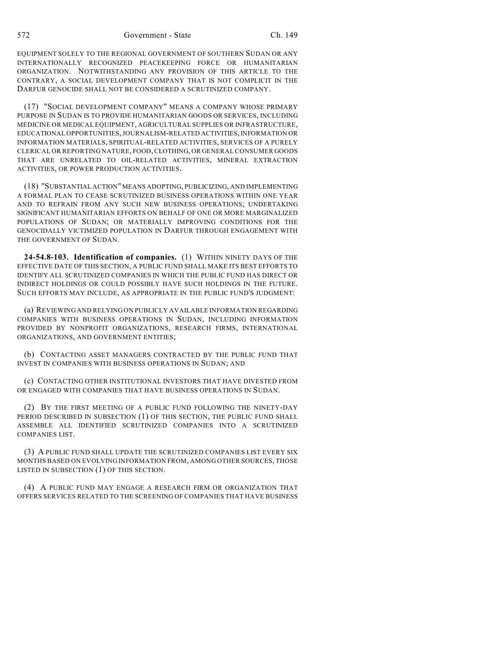EQUIPMENT SOLELY TO THE REGIONAL GOVERNMENT OF SOUTHERN SUDAN OR ANY INTERNATIONALLY RECOGNIZED PEACEKEEPING FORCE OR HUMANITARIAN ORGANIZATION. NOTWITHSTANDING ANY PROVISION OF THIS ARTICLE TO THE CONTRARY, A SOCIAL DEVELOPMENT COMPANY THAT IS NOT COMPLICIT IN THE DARFUR GENOCIDE SHALL NOT BE CONSIDERED A SCRUTINIZED COMPANY.

(17) "SOCIAL DEVELOPMENT COMPANY" MEANS A COMPANY WHOSE PRIMARY PURPOSE IN SUDAN IS TO PROVIDE HUMANITARIAN GOODS OR SERVICES, INCLUDING MEDICINE OR MEDICAL EQUIPMENT, AGRICULTURAL SUPPLIES OR INFRASTRUCTURE, EDUCATIONAL OPPORTUNITIES, JOURNALISM-RELATED ACTIVITIES, INFORMATION OR INFORMATION MATERIALS, SPIRITUAL-RELATED ACTIVITIES, SERVICES OF A PURELY CLERICAL OR REPORTING NATURE, FOOD, CLOTHING, OR GENERAL CONSUMER GOODS THAT ARE UNRELATED TO OIL-RELATED ACTIVITIES, MINERAL EXTRACTION ACTIVITIES, OR POWER PRODUCTION ACTIVITIES.

(18) "SUBSTANTIAL ACTION" MEANS ADOPTING, PUBLICIZING, AND IMPLEMENTING A FORMAL PLAN TO CEASE SCRUTINIZED BUSINESS OPERATIONS WITHIN ONE YEAR AND TO REFRAIN FROM ANY SUCH NEW BUSINESS OPERATIONS; UNDERTAKING SIGNIFICANT HUMANITARIAN EFFORTS ON BEHALF OF ONE OR MORE MARGINALIZED POPULATIONS OF SUDAN; OR MATERIALLY IMPROVING CONDITIONS FOR THE GENOCIDALLY VICTIMIZED POPULATION IN DARFUR THROUGH ENGAGEMENT WITH THE GOVERNMENT OF SUDAN.

**24-54.8-103. Identification of companies.** (1) WITHIN NINETY DAYS OF THE EFFECTIVE DATE OF THIS SECTION, A PUBLIC FUND SHALL MAKE ITS BEST EFFORTS TO IDENTIFY ALL SCRUTINIZED COMPANIES IN WHICH THE PUBLIC FUND HAS DIRECT OR INDIRECT HOLDINGS OR COULD POSSIBLY HAVE SUCH HOLDINGS IN THE FUTURE. SUCH EFFORTS MAY INCLUDE, AS APPROPRIATE IN THE PUBLIC FUND'S JUDGMENT:

(a) REVIEWING AND RELYING ON PUBLICLY AVAILABLE INFORMATION REGARDING COMPANIES WITH BUSINESS OPERATIONS IN SUDAN, INCLUDING INFORMATION PROVIDED BY NONPROFIT ORGANIZATIONS, RESEARCH FIRMS, INTERNATIONAL ORGANIZATIONS, AND GOVERNMENT ENTITIES;

(b) CONTACTING ASSET MANAGERS CONTRACTED BY THE PUBLIC FUND THAT INVEST IN COMPANIES WITH BUSINESS OPERATIONS IN SUDAN; AND

(c) CONTACTING OTHER INSTITUTIONAL INVESTORS THAT HAVE DIVESTED FROM OR ENGAGED WITH COMPANIES THAT HAVE BUSINESS OPERATIONS IN SUDAN.

(2) BY THE FIRST MEETING OF A PUBLIC FUND FOLLOWING THE NINETY-DAY PERIOD DESCRIBED IN SUBSECTION (1) OF THIS SECTION, THE PUBLIC FUND SHALL ASSEMBLE ALL IDENTIFIED SCRUTINIZED COMPANIES INTO A SCRUTINIZED COMPANIES LIST.

(3) A PUBLIC FUND SHALL UPDATE THE SCRUTINIZED COMPANIES LIST EVERY SIX MONTHS BASED ON EVOLVING INFORMATION FROM, AMONG OTHER SOURCES, THOSE LISTED IN SUBSECTION (1) OF THIS SECTION.

(4) A PUBLIC FUND MAY ENGAGE A RESEARCH FIRM OR ORGANIZATION THAT OFFERS SERVICES RELATED TO THE SCREENING OF COMPANIES THAT HAVE BUSINESS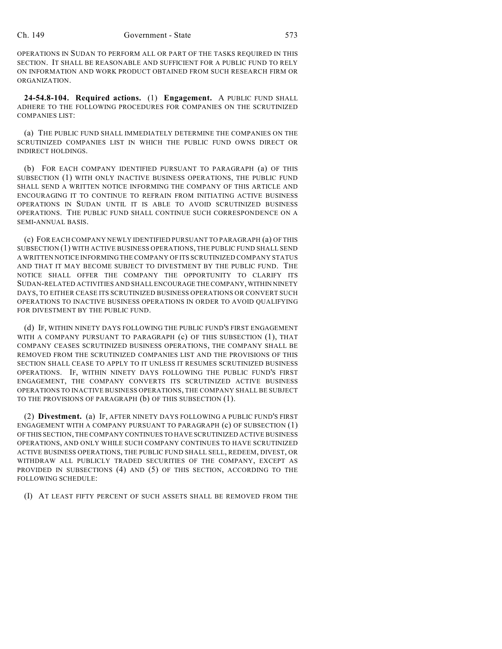OPERATIONS IN SUDAN TO PERFORM ALL OR PART OF THE TASKS REQUIRED IN THIS SECTION. IT SHALL BE REASONABLE AND SUFFICIENT FOR A PUBLIC FUND TO RELY ON INFORMATION AND WORK PRODUCT OBTAINED FROM SUCH RESEARCH FIRM OR ORGANIZATION.

**24-54.8-104. Required actions.** (1) **Engagement.** A PUBLIC FUND SHALL ADHERE TO THE FOLLOWING PROCEDURES FOR COMPANIES ON THE SCRUTINIZED COMPANIES LIST:

(a) THE PUBLIC FUND SHALL IMMEDIATELY DETERMINE THE COMPANIES ON THE SCRUTINIZED COMPANIES LIST IN WHICH THE PUBLIC FUND OWNS DIRECT OR INDIRECT HOLDINGS.

(b) FOR EACH COMPANY IDENTIFIED PURSUANT TO PARAGRAPH (a) OF THIS SUBSECTION (1) WITH ONLY INACTIVE BUSINESS OPERATIONS, THE PUBLIC FUND SHALL SEND A WRITTEN NOTICE INFORMING THE COMPANY OF THIS ARTICLE AND ENCOURAGING IT TO CONTINUE TO REFRAIN FROM INITIATING ACTIVE BUSINESS OPERATIONS IN SUDAN UNTIL IT IS ABLE TO AVOID SCRUTINIZED BUSINESS OPERATIONS. THE PUBLIC FUND SHALL CONTINUE SUCH CORRESPONDENCE ON A SEMI-ANNUAL BASIS.

(c) FOR EACH COMPANY NEWLY IDENTIFIED PURSUANT TO PARAGRAPH (a) OF THIS SUBSECTION (1) WITH ACTIVE BUSINESS OPERATIONS, THE PUBLIC FUND SHALL SEND A WRITTEN NOTICE INFORMING THE COMPANY OF ITS SCRUTINIZED COMPANY STATUS AND THAT IT MAY BECOME SUBJECT TO DIVESTMENT BY THE PUBLIC FUND. THE NOTICE SHALL OFFER THE COMPANY THE OPPORTUNITY TO CLARIFY ITS SUDAN-RELATED ACTIVITIES AND SHALL ENCOURAGE THE COMPANY, WITHIN NINETY DAYS, TO EITHER CEASE ITS SCRUTINIZED BUSINESS OPERATIONS OR CONVERT SUCH OPERATIONS TO INACTIVE BUSINESS OPERATIONS IN ORDER TO AVOID QUALIFYING FOR DIVESTMENT BY THE PUBLIC FUND.

(d) IF, WITHIN NINETY DAYS FOLLOWING THE PUBLIC FUND'S FIRST ENGAGEMENT WITH A COMPANY PURSUANT TO PARAGRAPH (c) OF THIS SUBSECTION (1), THAT COMPANY CEASES SCRUTINIZED BUSINESS OPERATIONS, THE COMPANY SHALL BE REMOVED FROM THE SCRUTINIZED COMPANIES LIST AND THE PROVISIONS OF THIS SECTION SHALL CEASE TO APPLY TO IT UNLESS IT RESUMES SCRUTINIZED BUSINESS OPERATIONS. IF, WITHIN NINETY DAYS FOLLOWING THE PUBLIC FUND'S FIRST ENGAGEMENT, THE COMPANY CONVERTS ITS SCRUTINIZED ACTIVE BUSINESS OPERATIONS TO INACTIVE BUSINESS OPERATIONS, THE COMPANY SHALL BE SUBJECT TO THE PROVISIONS OF PARAGRAPH (b) OF THIS SUBSECTION (1).

(2) **Divestment.** (a) IF, AFTER NINETY DAYS FOLLOWING A PUBLIC FUND'S FIRST ENGAGEMENT WITH A COMPANY PURSUANT TO PARAGRAPH (c) OF SUBSECTION (1) OF THIS SECTION, THE COMPANY CONTINUES TO HAVE SCRUTINIZED ACTIVE BUSINESS OPERATIONS, AND ONLY WHILE SUCH COMPANY CONTINUES TO HAVE SCRUTINIZED ACTIVE BUSINESS OPERATIONS, THE PUBLIC FUND SHALL SELL, REDEEM, DIVEST, OR WITHDRAW ALL PUBLICLY TRADED SECURITIES OF THE COMPANY, EXCEPT AS PROVIDED IN SUBSECTIONS (4) AND (5) OF THIS SECTION, ACCORDING TO THE FOLLOWING SCHEDULE:

(I) AT LEAST FIFTY PERCENT OF SUCH ASSETS SHALL BE REMOVED FROM THE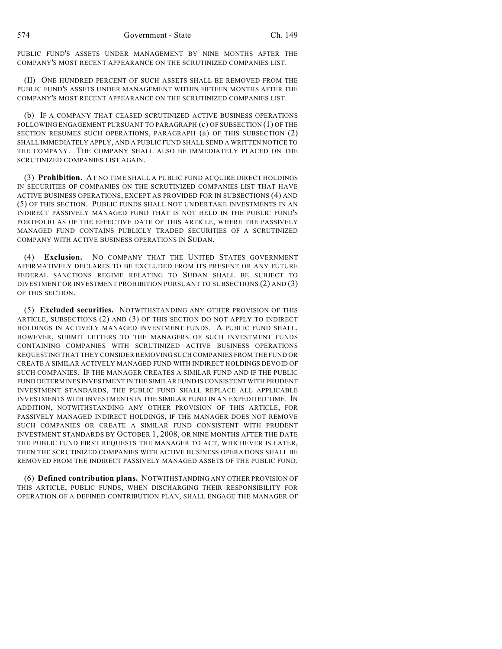PUBLIC FUND'S ASSETS UNDER MANAGEMENT BY NINE MONTHS AFTER THE COMPANY'S MOST RECENT APPEARANCE ON THE SCRUTINIZED COMPANIES LIST.

(II) ONE HUNDRED PERCENT OF SUCH ASSETS SHALL BE REMOVED FROM THE PUBLIC FUND'S ASSETS UNDER MANAGEMENT WITHIN FIFTEEN MONTHS AFTER THE COMPANY'S MOST RECENT APPEARANCE ON THE SCRUTINIZED COMPANIES LIST.

(b) IF A COMPANY THAT CEASED SCRUTINIZED ACTIVE BUSINESS OPERATIONS FOLLOWING ENGAGEMENT PURSUANT TO PARAGRAPH (c) OF SUBSECTION (1) OF THE SECTION RESUMES SUCH OPERATIONS, PARAGRAPH (a) OF THIS SUBSECTION (2) SHALL IMMEDIATELY APPLY, AND A PUBLIC FUND SHALL SEND A WRITTEN NOTICE TO THE COMPANY. THE COMPANY SHALL ALSO BE IMMEDIATELY PLACED ON THE SCRUTINIZED COMPANIES LIST AGAIN.

(3) **Prohibition.** AT NO TIME SHALL A PUBLIC FUND ACQUIRE DIRECT HOLDINGS IN SECURITIES OF COMPANIES ON THE SCRUTINIZED COMPANIES LIST THAT HAVE ACTIVE BUSINESS OPERATIONS, EXCEPT AS PROVIDED FOR IN SUBSECTIONS (4) AND (5) OF THIS SECTION. PUBLIC FUNDS SHALL NOT UNDERTAKE INVESTMENTS IN AN INDIRECT PASSIVELY MANAGED FUND THAT IS NOT HELD IN THE PUBLIC FUND'S PORTFOLIO AS OF THE EFFECTIVE DATE OF THIS ARTICLE, WHERE THE PASSIVELY MANAGED FUND CONTAINS PUBLICLY TRADED SECURITIES OF A SCRUTINIZED COMPANY WITH ACTIVE BUSINESS OPERATIONS IN SUDAN.

(4) **Exclusion.** NO COMPANY THAT THE UNITED STATES GOVERNMENT AFFIRMATIVELY DECLARES TO BE EXCLUDED FROM ITS PRESENT OR ANY FUTURE FEDERAL SANCTIONS REGIME RELATING TO SUDAN SHALL BE SUBJECT TO DIVESTMENT OR INVESTMENT PROHIBITION PURSUANT TO SUBSECTIONS (2) AND (3) OF THIS SECTION.

(5) **Excluded securities.** NOTWITHSTANDING ANY OTHER PROVISION OF THIS ARTICLE, SUBSECTIONS (2) AND (3) OF THIS SECTION DO NOT APPLY TO INDIRECT HOLDINGS IN ACTIVELY MANAGED INVESTMENT FUNDS. A PUBLIC FUND SHALL, HOWEVER, SUBMIT LETTERS TO THE MANAGERS OF SUCH INVESTMENT FUNDS CONTAINING COMPANIES WITH SCRUTINIZED ACTIVE BUSINESS OPERATIONS REQUESTING THAT THEY CONSIDER REMOVING SUCH COMPANIES FROM THE FUND OR CREATE A SIMILAR ACTIVELY MANAGED FUND WITH INDIRECT HOLDINGS DEVOID OF SUCH COMPANIES. IF THE MANAGER CREATES A SIMILAR FUND AND IF THE PUBLIC FUND DETERMINES INVESTMENT IN THE SIMILAR FUND IS CONSISTENT WITH PRUDENT INVESTMENT STANDARDS, THE PUBLIC FUND SHALL REPLACE ALL APPLICABLE INVESTMENTS WITH INVESTMENTS IN THE SIMILAR FUND IN AN EXPEDITED TIME. IN ADDITION, NOTWITHSTANDING ANY OTHER PROVISION OF THIS ARTICLE, FOR PASSIVELY MANAGED INDIRECT HOLDINGS, IF THE MANAGER DOES NOT REMOVE SUCH COMPANIES OR CREATE A SIMILAR FUND CONSISTENT WITH PRUDENT INVESTMENT STANDARDS BY OCTOBER 1, 2008, OR NINE MONTHS AFTER THE DATE THE PUBLIC FUND FIRST REQUESTS THE MANAGER TO ACT, WHICHEVER IS LATER, THEN THE SCRUTINIZED COMPANIES WITH ACTIVE BUSINESS OPERATIONS SHALL BE REMOVED FROM THE INDIRECT PASSIVELY MANAGED ASSETS OF THE PUBLIC FUND.

(6) **Defined contribution plans.** NOTWITHSTANDING ANY OTHER PROVISION OF THIS ARTICLE, PUBLIC FUNDS, WHEN DISCHARGING THEIR RESPONSIBILITY FOR OPERATION OF A DEFINED CONTRIBUTION PLAN, SHALL ENGAGE THE MANAGER OF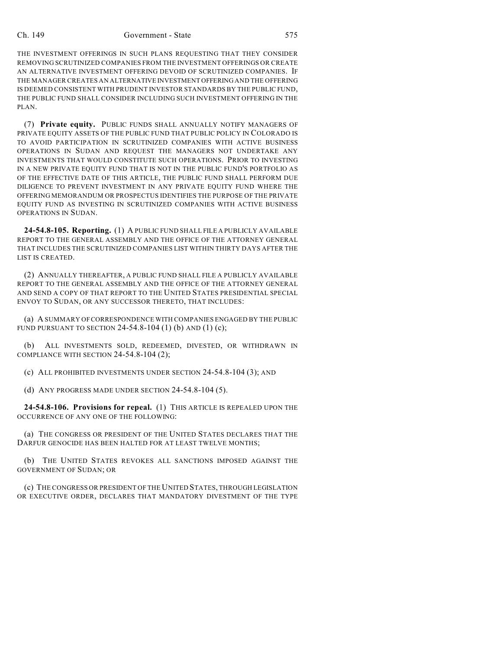### Ch. 149 Government - State 575

THE INVESTMENT OFFERINGS IN SUCH PLANS REQUESTING THAT THEY CONSIDER REMOVING SCRUTINIZED COMPANIES FROM THE INVESTMENT OFFERINGS OR CREATE AN ALTERNATIVE INVESTMENT OFFERING DEVOID OF SCRUTINIZED COMPANIES. IF THE MANAGER CREATES AN ALTERNATIVE INVESTMENT OFFERING AND THE OFFERING IS DEEMED CONSISTENT WITH PRUDENT INVESTOR STANDARDS BY THE PUBLIC FUND, THE PUBLIC FUND SHALL CONSIDER INCLUDING SUCH INVESTMENT OFFERING IN THE PLAN.

(7) **Private equity.** PUBLIC FUNDS SHALL ANNUALLY NOTIFY MANAGERS OF PRIVATE EQUITY ASSETS OF THE PUBLIC FUND THAT PUBLIC POLICY IN COLORADO IS TO AVOID PARTICIPATION IN SCRUTINIZED COMPANIES WITH ACTIVE BUSINESS OPERATIONS IN SUDAN AND REQUEST THE MANAGERS NOT UNDERTAKE ANY INVESTMENTS THAT WOULD CONSTITUTE SUCH OPERATIONS. PRIOR TO INVESTING IN A NEW PRIVATE EQUITY FUND THAT IS NOT IN THE PUBLIC FUND'S PORTFOLIO AS OF THE EFFECTIVE DATE OF THIS ARTICLE, THE PUBLIC FUND SHALL PERFORM DUE DILIGENCE TO PREVENT INVESTMENT IN ANY PRIVATE EQUITY FUND WHERE THE OFFERING MEMORANDUM OR PROSPECTUS IDENTIFIES THE PURPOSE OF THE PRIVATE EQUITY FUND AS INVESTING IN SCRUTINIZED COMPANIES WITH ACTIVE BUSINESS OPERATIONS IN SUDAN.

**24-54.8-105. Reporting.** (1) A PUBLIC FUND SHALL FILE A PUBLICLY AVAILABLE REPORT TO THE GENERAL ASSEMBLY AND THE OFFICE OF THE ATTORNEY GENERAL THAT INCLUDES THE SCRUTINIZED COMPANIES LIST WITHIN THIRTY DAYS AFTER THE LIST IS CREATED.

(2) ANNUALLY THEREAFTER, A PUBLIC FUND SHALL FILE A PUBLICLY AVAILABLE REPORT TO THE GENERAL ASSEMBLY AND THE OFFICE OF THE ATTORNEY GENERAL AND SEND A COPY OF THAT REPORT TO THE UNITED STATES PRESIDENTIAL SPECIAL ENVOY TO SUDAN, OR ANY SUCCESSOR THERETO, THAT INCLUDES:

(a) A SUMMARY OF CORRESPONDENCE WITH COMPANIES ENGAGED BY THE PUBLIC FUND PURSUANT TO SECTION 24-54.8-104 (1) (b) AND (1) (c);

(b) ALL INVESTMENTS SOLD, REDEEMED, DIVESTED, OR WITHDRAWN IN COMPLIANCE WITH SECTION 24-54.8-104 (2);

(c) ALL PROHIBITED INVESTMENTS UNDER SECTION 24-54.8-104 (3); AND

(d) ANY PROGRESS MADE UNDER SECTION 24-54.8-104 (5).

**24-54.8-106. Provisions for repeal.** (1) THIS ARTICLE IS REPEALED UPON THE OCCURRENCE OF ANY ONE OF THE FOLLOWING:

(a) THE CONGRESS OR PRESIDENT OF THE UNITED STATES DECLARES THAT THE DARFUR GENOCIDE HAS BEEN HALTED FOR AT LEAST TWELVE MONTHS;

(b) THE UNITED STATES REVOKES ALL SANCTIONS IMPOSED AGAINST THE GOVERNMENT OF SUDAN; OR

(c) THE CONGRESS OR PRESIDENT OF THE UNITED STATES, THROUGH LEGISLATION OR EXECUTIVE ORDER, DECLARES THAT MANDATORY DIVESTMENT OF THE TYPE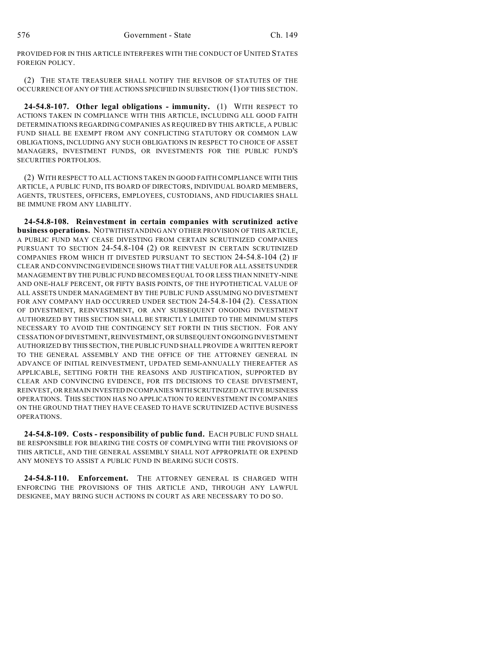PROVIDED FOR IN THIS ARTICLE INTERFERES WITH THE CONDUCT OF UNITED STATES FOREIGN POLICY.

(2) THE STATE TREASURER SHALL NOTIFY THE REVISOR OF STATUTES OF THE OCCURRENCE OF ANY OF THE ACTIONS SPECIFIED IN SUBSECTION (1) OF THIS SECTION.

**24-54.8-107. Other legal obligations - immunity.** (1) WITH RESPECT TO ACTIONS TAKEN IN COMPLIANCE WITH THIS ARTICLE, INCLUDING ALL GOOD FAITH DETERMINATIONS REGARDING COMPANIES AS REQUIRED BY THIS ARTICLE, A PUBLIC FUND SHALL BE EXEMPT FROM ANY CONFLICTING STATUTORY OR COMMON LAW OBLIGATIONS, INCLUDING ANY SUCH OBLIGATIONS IN RESPECT TO CHOICE OF ASSET MANAGERS, INVESTMENT FUNDS, OR INVESTMENTS FOR THE PUBLIC FUND'S SECURITIES PORTFOLIOS.

(2) WITH RESPECT TO ALL ACTIONS TAKEN IN GOOD FAITH COMPLIANCE WITH THIS ARTICLE, A PUBLIC FUND, ITS BOARD OF DIRECTORS, INDIVIDUAL BOARD MEMBERS, AGENTS, TRUSTEES, OFFICERS, EMPLOYEES, CUSTODIANS, AND FIDUCIARIES SHALL BE IMMUNE FROM ANY LIABILITY.

**24-54.8-108. Reinvestment in certain companies with scrutinized active business operations.** NOTWITHSTANDING ANY OTHER PROVISION OF THIS ARTICLE, A PUBLIC FUND MAY CEASE DIVESTING FROM CERTAIN SCRUTINIZED COMPANIES PURSUANT TO SECTION 24-54.8-104 (2) OR REINVEST IN CERTAIN SCRUTINIZED COMPANIES FROM WHICH IT DIVESTED PURSUANT TO SECTION 24-54.8-104 (2) IF CLEAR AND CONVINCING EVIDENCE SHOWS THAT THE VALUE FOR ALL ASSETS UNDER MANAGEMENT BY THE PUBLIC FUND BECOMES EQUAL TO OR LESS THAN NINETY-NINE AND ONE-HALF PERCENT, OR FIFTY BASIS POINTS, OF THE HYPOTHETICAL VALUE OF ALL ASSETS UNDER MANAGEMENT BY THE PUBLIC FUND ASSUMING NO DIVESTMENT FOR ANY COMPANY HAD OCCURRED UNDER SECTION 24-54.8-104 (2). CESSATION OF DIVESTMENT, REINVESTMENT, OR ANY SUBSEQUENT ONGOING INVESTMENT AUTHORIZED BY THIS SECTION SHALL BE STRICTLY LIMITED TO THE MINIMUM STEPS NECESSARY TO AVOID THE CONTINGENCY SET FORTH IN THIS SECTION. FOR ANY CESSATION OF DIVESTMENT, REINVESTMENT, OR SUBSEQUENT ONGOING INVESTMENT AUTHORIZED BY THIS SECTION, THE PUBLIC FUND SHALL PROVIDE A WRITTEN REPORT TO THE GENERAL ASSEMBLY AND THE OFFICE OF THE ATTORNEY GENERAL IN ADVANCE OF INITIAL REINVESTMENT, UPDATED SEMI-ANNUALLY THEREAFTER AS APPLICABLE, SETTING FORTH THE REASONS AND JUSTIFICATION, SUPPORTED BY CLEAR AND CONVINCING EVIDENCE, FOR ITS DECISIONS TO CEASE DIVESTMENT, REINVEST, OR REMAIN INVESTED IN COMPANIES WITH SCRUTINIZED ACTIVE BUSINESS OPERATIONS. THIS SECTION HAS NO APPLICATION TO REINVESTMENT IN COMPANIES ON THE GROUND THAT THEY HAVE CEASED TO HAVE SCRUTINIZED ACTIVE BUSINESS OPERATIONS.

**24-54.8-109. Costs - responsibility of public fund.** EACH PUBLIC FUND SHALL BE RESPONSIBLE FOR BEARING THE COSTS OF COMPLYING WITH THE PROVISIONS OF THIS ARTICLE, AND THE GENERAL ASSEMBLY SHALL NOT APPROPRIATE OR EXPEND ANY MONEYS TO ASSIST A PUBLIC FUND IN BEARING SUCH COSTS.

**24-54.8-110. Enforcement.** THE ATTORNEY GENERAL IS CHARGED WITH ENFORCING THE PROVISIONS OF THIS ARTICLE AND, THROUGH ANY LAWFUL DESIGNEE, MAY BRING SUCH ACTIONS IN COURT AS ARE NECESSARY TO DO SO.